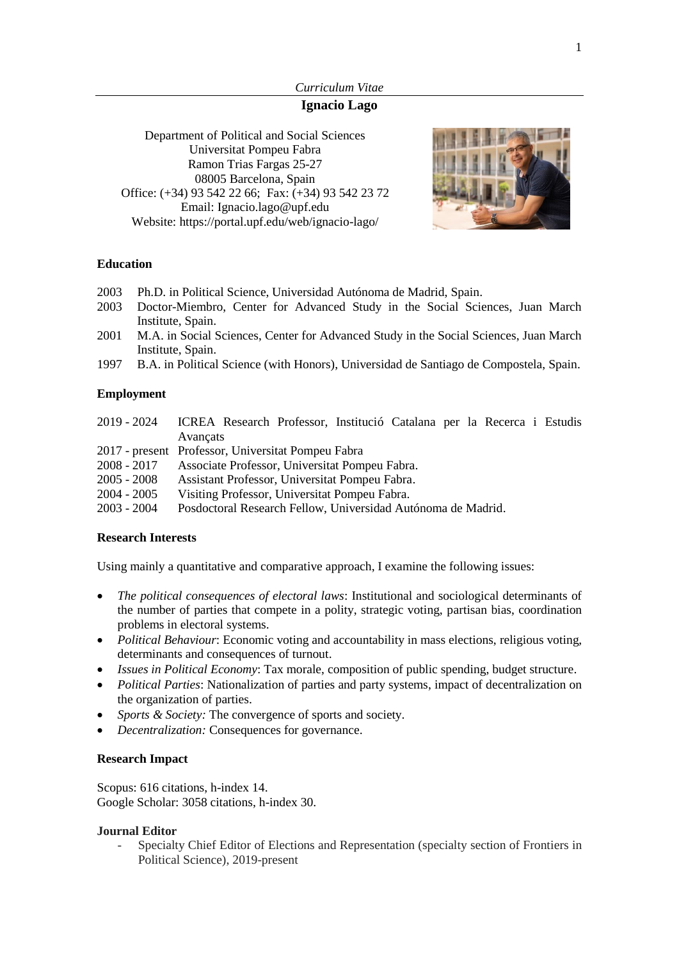*Curriculum Vitae*  **Ignacio Lago**

Department of Political and Social Sciences Universitat Pompeu Fabra Ramon Trias Fargas 25-27 08005 Barcelona, Spain Office: (+34) 93 542 22 66; Fax: (+34) 93 542 23 72 Email: Ignacio.lago@upf.edu Website: https://portal.upf.edu/web/ignacio-lago/



# **Education**

- 2003 Ph.D. in Political Science, Universidad Autónoma de Madrid, Spain.
- 2003 Doctor-Miembro, Center for Advanced Study in the Social Sciences, Juan March Institute, Spain.
- 2001 M.A. in Social Sciences, Center for Advanced Study in the Social Sciences, Juan March Institute, Spain.
- 1997 B.A. in Political Science (with Honors), Universidad de Santiago de Compostela, Spain.

# **Employment**

|               | 2019 - 2024 ICREA Research Professor, Institució Catalana per la Recerca i Estudis |
|---------------|------------------------------------------------------------------------------------|
|               | Avancats                                                                           |
|               | 2017 - present Professor, Universitat Pompeu Fabra                                 |
|               | 2008 - 2017 Associate Professor, Universitat Pompeu Fabra.                         |
| $2005 - 2008$ | Assistant Professor, Universitat Pompeu Fabra.                                     |
| 2004 - 2005   | Visiting Professor, Universitat Pompeu Fabra.                                      |
| $2003 - 2004$ | Posdoctoral Research Fellow, Universidad Autónoma de Madrid.                       |

# **Research Interests**

Using mainly a quantitative and comparative approach, I examine the following issues:

- *The political consequences of electoral laws*: Institutional and sociological determinants of the number of parties that compete in a polity, strategic voting, partisan bias, coordination problems in electoral systems.
- *Political Behaviour*: Economic voting and accountability in mass elections, religious voting, determinants and consequences of turnout.
- *Issues in Political Economy*: Tax morale, composition of public spending, budget structure.
- *Political Parties*: Nationalization of parties and party systems, impact of decentralization on the organization of parties.
- *Sports & Society:* The convergence of sports and society.
- *Decentralization:* Consequences for governance.

# **Research Impact**

Scopus: 616 citations, h-index 14. Google Scholar: 3058 citations, h-index 30.

# **Journal Editor**

- Specialty Chief Editor of Elections and Representation (specialty section of Frontiers in Political Science), 2019-present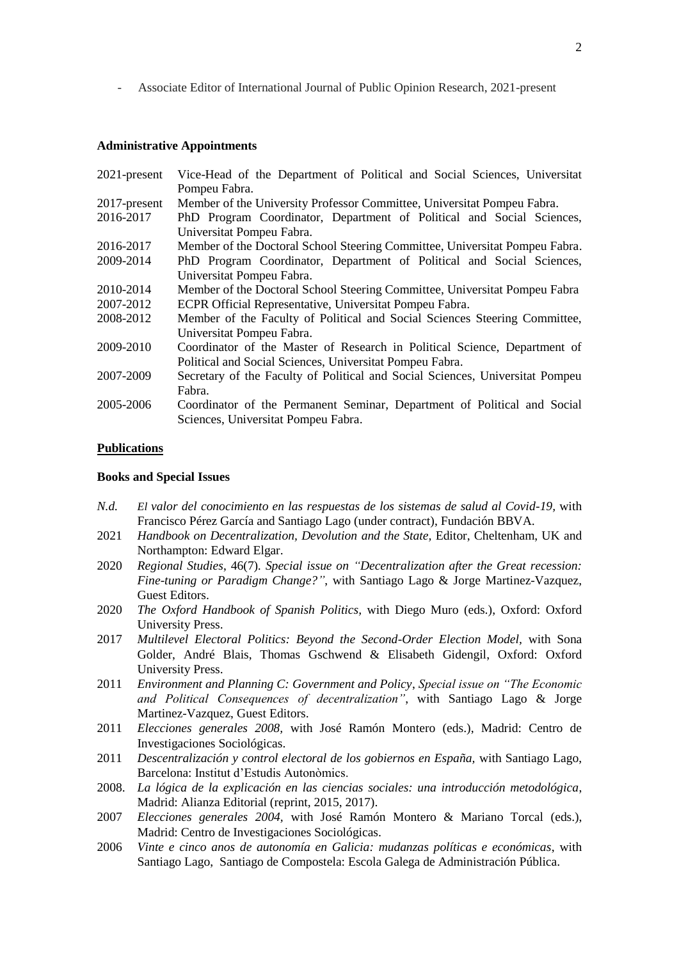- Associate Editor of International Journal of Public Opinion Research, 2021-present

#### **Administrative Appointments**

| 2021-present | Vice-Head of the Department of Political and Social Sciences, Universitat     |
|--------------|-------------------------------------------------------------------------------|
|              | Pompeu Fabra.                                                                 |
| 2017-present | Member of the University Professor Committee, Universitat Pompeu Fabra.       |
| 2016-2017    | PhD Program Coordinator, Department of Political and Social Sciences,         |
|              | Universitat Pompeu Fabra.                                                     |
| 2016-2017    | Member of the Doctoral School Steering Committee, Universitat Pompeu Fabra.   |
| 2009-2014    | PhD Program Coordinator, Department of Political and Social Sciences,         |
|              | Universitat Pompeu Fabra.                                                     |
| 2010-2014    | Member of the Doctoral School Steering Committee, Universitat Pompeu Fabra    |
| 2007-2012    | ECPR Official Representative, Universitat Pompeu Fabra.                       |
| 2008-2012    | Member of the Faculty of Political and Social Sciences Steering Committee,    |
|              | Universitat Pompeu Fabra.                                                     |
| 2009-2010    | Coordinator of the Master of Research in Political Science, Department of     |
|              | Political and Social Sciences, Universitat Pompeu Fabra.                      |
| 2007-2009    | Secretary of the Faculty of Political and Social Sciences, Universitat Pompeu |
|              | Fabra.                                                                        |
| 2005-2006    | Coordinator of the Permanent Seminar, Department of Political and Social      |
|              | Sciences, Universitat Pompeu Fabra.                                           |

### **Publications**

### **Books and Special Issues**

- *N.d. El valor del conocimiento en las respuestas de los sistemas de salud al Covid-19,* with Francisco Pérez García and Santiago Lago (under contract), Fundación BBVA.
- 2021 *Handbook on Decentralization, Devolution and the State,* Editor, Cheltenham, UK and Northampton: Edward Elgar.
- 2020 *Regional Studies*, 46(7)*. Special issue on "Decentralization after the Great recession: Fine-tuning or Paradigm Change?"*, with Santiago Lago & Jorge Martinez-Vazquez, Guest Editors.
- 2020 *The Oxford Handbook of Spanish Politics,* with Diego Muro (eds.), Oxford: Oxford University Press.
- 2017 *Multilevel Electoral Politics: Beyond the Second-Order Election Model,* with Sona Golder, André Blais, Thomas Gschwend & Elisabeth Gidengil, Oxford: Oxford University Press.
- 2011 *Environment and Planning C: Government and Policy*, *Special issue on "The Economic and Political Consequences of decentralization"*, with Santiago Lago & Jorge Martinez-Vazquez, Guest Editors.
- 2011 *Elecciones generales 2008,* with José Ramón Montero (eds.), Madrid: Centro de Investigaciones Sociológicas.
- 2011 *Descentralización y control electoral de los gobiernos en España,* with Santiago Lago, Barcelona: Institut d'Estudis Autonòmics.
- 2008. *La lógica de la explicación en las ciencias sociales: una introducción metodológica*, Madrid: Alianza Editorial (reprint, 2015, 2017).
- 2007 *Elecciones generales 2004,* with José Ramón Montero & Mariano Torcal (eds.), Madrid: Centro de Investigaciones Sociológicas.
- 2006 *Vinte e cinco anos de autonomía en Galicia: mudanzas políticas e económicas*, with Santiago Lago, Santiago de Compostela: Escola Galega de Administración Pública.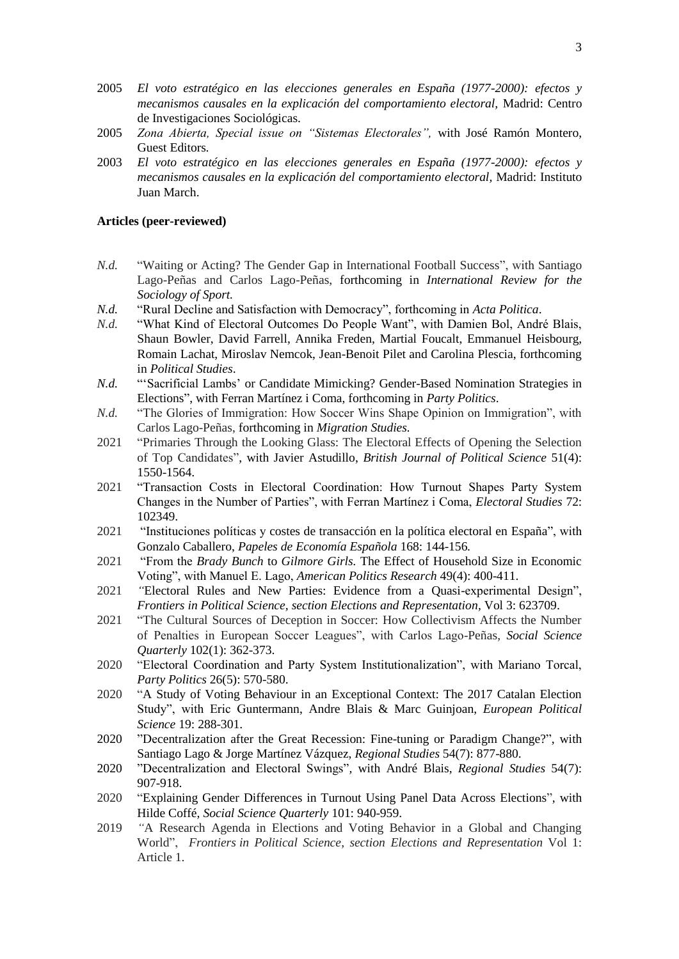- 2005 *El voto estratégico en las elecciones generales en España (1977-2000): efectos y mecanismos causales en la explicación del comportamiento electoral,* Madrid: Centro de Investigaciones Sociológicas.
- 2005 *Zona Abierta, Special issue on "Sistemas Electorales",* with José Ramón Montero, Guest Editors*.*
- 2003 *El voto estratégico en las elecciones generales en España (1977-2000): efectos y mecanismos causales en la explicación del comportamiento electoral,* Madrid: Instituto Juan March.

### **Articles (peer-reviewed)**

- *N.d.* "Waiting or Acting? The Gender Gap in International Football Success", with Santiago Lago-Peñas and Carlos Lago-Peñas, forthcoming in *International Review for the Sociology of Sport.*
- *N.d.* "Rural Decline and Satisfaction with Democracy", forthcoming in *Acta Politica*.
- *N.d.* "What Kind of Electoral Outcomes Do People Want", with Damien Bol, André Blais, Shaun Bowler, David Farrell, Annika Freden, Martial Foucalt, Emmanuel Heisbourg, Romain Lachat, Miroslav Nemcok, Jean-Benoit Pilet and Carolina Plescia, forthcoming in *Political Studies*.
- *N.d.* "'Sacrificial Lambs' or Candidate Mimicking? Gender-Based Nomination Strategies in Elections", with Ferran Martínez i Coma, forthcoming in *Party Politics*.
- *N.d.* "The Glories of Immigration: How Soccer Wins Shape Opinion on Immigration", with Carlos Lago-Peñas, forthcoming in *Migration Studies.*
- 2021 "Primaries Through the Looking Glass: The Electoral Effects of Opening the Selection of Top Candidates", with Javier Astudillo, *British Journal of Political Science* 51(4): 1550-1564.
- 2021 "Transaction Costs in Electoral Coordination: How Turnout Shapes Party System Changes in the Number of Parties", with Ferran Martínez i Coma, *Electoral Studies* 72: 102349.
- 2021 "Instituciones políticas y costes de transacción en la política electoral en España", with Gonzalo Caballero, *Papeles de Economía Española* 168: 144-156*.*
- 2021 "From the *Brady Bunch* to *Gilmore Girls.* The Effect of Household Size in Economic Voting", with Manuel E. Lago, *American Politics Research* 49(4): 400-411.
- 2021 *"*Electoral Rules and New Parties: Evidence from a Quasi-experimental Design", *Frontiers in Political Science, section Elections and Representation,* Vol 3: 623709.
- 2021 "The Cultural Sources of Deception in Soccer: How Collectivism Affects the Number of Penalties in European Soccer Leagues", with Carlos Lago-Peñas, *Social Science Quarterly* 102(1): 362-373.
- 2020 "Electoral Coordination and Party System Institutionalization", with Mariano Torcal, *Party Politics* 26(5): 570-580.
- 2020 "A Study of Voting Behaviour in an Exceptional Context: The 2017 Catalan Election Study", with Eric Guntermann, Andre Blais & Marc Guinjoan, *European Political Science* 19: 288-301.
- 2020 "Decentralization after the Great Recession: Fine-tuning or Paradigm Change?", with Santiago Lago & Jorge Martínez Vázquez, *Regional Studies* 54(7): 877-880.
- 2020 "Decentralization and Electoral Swings"*,* with André Blais, *Regional Studies* 54(7): 907-918.
- 2020 "Explaining Gender Differences in Turnout Using Panel Data Across Elections", with Hilde Coffé, *Social Science Quarterly* 101: 940-959.
- 2019 *"*A Research Agenda in Elections and Voting Behavior in a Global and Changing World", *Frontiers in Political Science, section Elections and Representation* Vol 1: Article 1.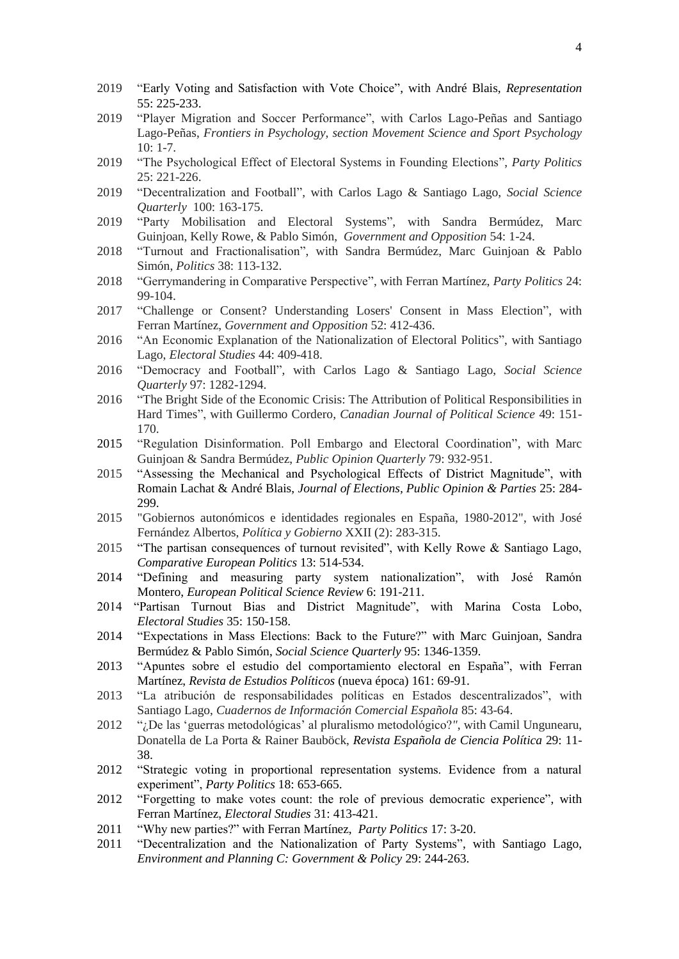- 2019 "Early Voting and Satisfaction with Vote Choice", with André Blais, *Representation* 55: 225-233.
- 2019 "Player Migration and Soccer Performance", with Carlos Lago-Peñas and Santiago Lago-Peñas, *Frontiers in Psychology, section Movement Science and Sport Psychology* 10: 1-7.
- 2019 "The Psychological Effect of Electoral Systems in Founding Elections", *Party Politics* 25: 221-226.
- 2019 "Decentralization and Football", with Carlos Lago & Santiago Lago, *Social Science Quarterly* 100: 163-175.
- 2019 "Party Mobilisation and Electoral Systems", with Sandra Bermúdez, Marc Guinjoan, Kelly Rowe, & Pablo Simón, *Government and Opposition* 54: 1-24.
- 2018 "Turnout and Fractionalisation", with Sandra Bermúdez, Marc Guinjoan & Pablo Simón, *Politics* 38: 113-132.
- 2018 "Gerrymandering in Comparative Perspective", with Ferran Martínez, *Party Politics* 24: 99-104.
- 2017 "Challenge or Consent? Understanding Losers' Consent in Mass Election", with Ferran Martínez, *Government and Opposition* 52: 412-436.
- 2016 "An Economic Explanation of the Nationalization of Electoral Politics", with Santiago Lago, *Electoral Studies* 44: 409-418.
- 2016 "Democracy and Football", with Carlos Lago & Santiago Lago, *Social Science Quarterly* 97: 1282-1294.
- 2016 "The Bright Side of the Economic Crisis: The Attribution of Political Responsibilities in Hard Times", with Guillermo Cordero, *Canadian Journal of Political Science* 49: 151- 170.
- 2015 "Regulation Disinformation. Poll Embargo and Electoral Coordination", with Marc Guinjoan & Sandra Bermúdez, *Public Opinion Quarterly* 79: 932-951.
- 2015 "Assessing the Mechanical and Psychological Effects of District Magnitude", with Romain Lachat & André Blais, *Journal of Elections, Public Opinion & Parties* 25: 284- 299.
- 2015 "Gobiernos autonómicos e identidades regionales en España, 1980-2012", with José Fernández Albertos, *Política y Gobierno* XXII (2): 283-315.
- 2015 "The partisan consequences of turnout revisited", with Kelly Rowe & Santiago Lago, *Comparative European Politics* 13: 514-534.
- 2014 "Defining and measuring party system nationalization", with José Ramón Montero, *European Political Science Review* 6: 191-211.
- 2014 "Partisan Turnout Bias and District Magnitude", with Marina Costa Lobo, *Electoral Studies* 35: 150-158.
- 2014 "Expectations in Mass Elections: Back to the Future?" with Marc Guinjoan, Sandra Bermúdez & Pablo Simón, *Social Science Quarterly* 95: 1346-1359.
- 2013 "Apuntes sobre el estudio del comportamiento electoral en España", with Ferran Martínez, *Revista de Estudios Políticos* (nueva época) 161: 69-91.
- 2013 "La atribución de responsabilidades políticas en Estados descentralizados", with Santiago Lago, *Cuadernos de Información Comercial Española* 85: 43-64.
- 2012 "¿De las 'guerras metodológicas' al pluralismo metodológico?*"*, with Camil Ungunearu, Donatella de La Porta & Rainer Bauböck, *Revista Española de Ciencia Política* 29: 11- 38.
- 2012 "Strategic voting in proportional representation systems. Evidence from a natural experiment", *Party Politics* 18: 653-665.
- 2012 "Forgetting to make votes count: the role of previous democratic experience", with Ferran Martínez, *Electoral Studies* 31: 413-421.
- 2011 "Why new parties?" with Ferran Martínez, *Party Politics* 17: 3-20.
- 2011 "Decentralization and the Nationalization of Party Systems", with Santiago Lago, *Environment and Planning C: Government & Policy* 29: 244-263.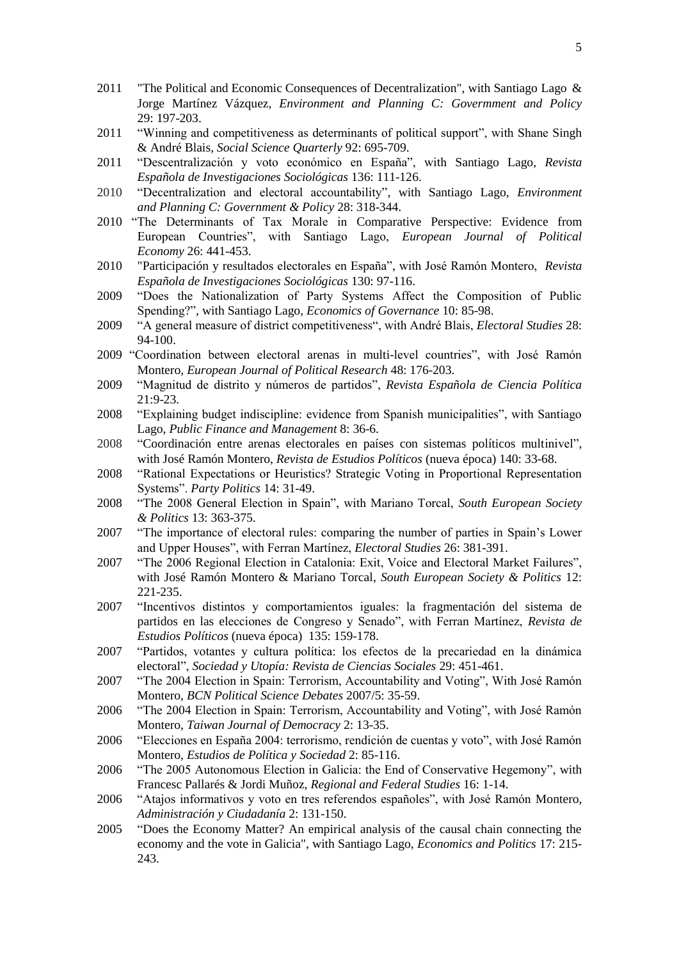- 2011 "The Political and Economic Consequences of Decentralization", with Santiago Lago & Jorge Martínez Vázquez, *Environment and Planning C: Govermment and Policy* 29: 197-203.
- 2011 "Winning and competitiveness as determinants of political support", with Shane Singh & André Blais, *Social Science Quarterly* 92: 695-709.
- 2011 "Descentralización y voto económico en España", with Santiago Lago, *Revista Española de Investigaciones Sociológicas* 136: 111-126.
- 2010 "Decentralization and electoral accountability", with Santiago Lago, *Environment and Planning C: Government & Policy* 28: 318-344.
- 2010 "The Determinants of Tax Morale in Comparative Perspective: Evidence from European Countries", with Santiago Lago, *European Journal of Political Economy* 26: 441-453.
- 2010 "Participación y resultados electorales en España", with José Ramón Montero, *Revista Española de Investigaciones Sociológicas* 130: 97-116.
- 2009 "Does the Nationalization of Party Systems Affect the Composition of Public Spending?", with Santiago Lago, *Economics of Governance* 10: 85-98.
- 2009 "A general measure of district competitiveness", with André Blais, *Electoral Studies* 28: 94-100.
- 2009 "Coordination between electoral arenas in multi-level countries", with José Ramón Montero, *European Journal of Political Research* 48: 176-203.
- 2009 "Magnitud de distrito y números de partidos", *Revista Española de Ciencia Política*  21:9-23.
- 2008 "Explaining budget indiscipline: evidence from Spanish municipalities", with Santiago Lago, *Public Finance and Management* 8: 36-6.
- 2008 "Coordinación entre arenas electorales en países con sistemas políticos multinivel", with José Ramón Montero, *Revista de Estudios Políticos* (nueva época) 140: 33-68.
- 2008 "Rational Expectations or Heuristics? Strategic Voting in Proportional Representation Systems". *Party Politics* 14: 31-49.
- 2008 "The 2008 General Election in Spain", with Mariano Torcal, *South European Society & Politics* 13: 363-375.
- 2007 "The importance of electoral rules: comparing the number of parties in Spain's Lower and Upper Houses", with Ferran Martínez, *Electoral Studies* 26: 381-391.
- 2007 "The 2006 Regional Election in Catalonia: Exit, Voice and Electoral Market Failures", with José Ramón Montero & Mariano Torcal, *South European Society & Politics* 12: 221-235.
- 2007 "Incentivos distintos y comportamientos iguales: la fragmentación del sistema de partidos en las elecciones de Congreso y Senado", with Ferran Martínez, *Revista de Estudios Políticos* (nueva época) 135: 159-178.
- 2007 "Partidos, votantes y cultura política: los efectos de la precariedad en la dinámica electoral", *Sociedad y Utopía: Revista de Ciencias Sociales* 29: 451-461.
- 2007 "The 2004 Election in Spain: Terrorism, Accountability and Voting", With José Ramón Montero, *BCN Political Science Debates* 2007/5: 35-59.
- 2006 "The 2004 Election in Spain: Terrorism, Accountability and Voting", with José Ramón Montero, *Taiwan Journal of Democracy* 2: 13-35.
- 2006 "Elecciones en España 2004: terrorismo, rendición de cuentas y voto", with José Ramón Montero, *Estudios de Política y Sociedad* 2: 85-116.
- 2006 "The 2005 Autonomous Election in Galicia: the End of Conservative Hegemony", with Francesc Pallarés & Jordi Muñoz, *Regional and Federal Studies* 16: 1-14.
- 2006 "Atajos informativos y voto en tres referendos españoles", with José Ramón Montero, *Administración y Ciudadanía* 2: 131-150.
- 2005 "Does the Economy Matter? An empirical analysis of the causal chain connecting the economy and the vote in Galicia", with Santiago Lago, *Economics and Politics* 17: 215- 243.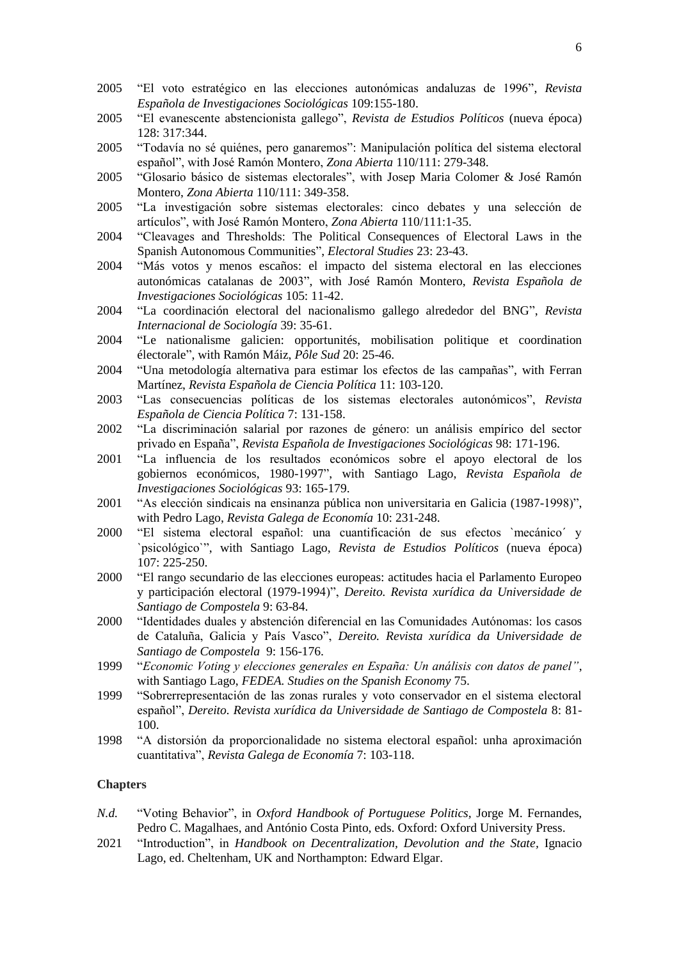- 2005 "El voto estratégico en las elecciones autonómicas andaluzas de 1996", *Revista Española de Investigaciones Sociológicas* 109:155-180.
- 2005 "El evanescente abstencionista gallego", *Revista de Estudios Políticos* (nueva época) 128: 317:344.
- 2005 "Todavía no sé quiénes, pero ganaremos": Manipulación política del sistema electoral español", with José Ramón Montero, *Zona Abierta* 110/111: 279-348.
- 2005 "Glosario básico de sistemas electorales", with Josep Maria Colomer & José Ramón Montero, *Zona Abierta* 110/111: 349-358.
- 2005 "La investigación sobre sistemas electorales: cinco debates y una selección de artículos", with José Ramón Montero, *Zona Abierta* 110/111:1-35.
- 2004 "Cleavages and Thresholds: The Political Consequences of Electoral Laws in the Spanish Autonomous Communities", *Electoral Studies* 23: 23-43.
- 2004 "Más votos y menos escaños: el impacto del sistema electoral en las elecciones autonómicas catalanas de 2003", with José Ramón Montero, *Revista Española de Investigaciones Sociológicas* 105: 11-42.
- 2004 "La coordinación electoral del nacionalismo gallego alrededor del BNG", *Revista Internacional de Sociología* 39: 35-61.
- 2004 "Le nationalisme galicien: opportunités, mobilisation politique et coordination électorale", with Ramón Máiz, *Pôle Sud* 20: 25-46.
- 2004 "Una metodología alternativa para estimar los efectos de las campañas", with Ferran Martínez, *Revista Española de Ciencia Política* 11: 103-120.
- 2003 "Las consecuencias políticas de los sistemas electorales autonómicos", *Revista Española de Ciencia Política* 7: 131-158.
- 2002 "La discriminación salarial por razones de género: un análisis empírico del sector privado en España", *Revista Española de Investigaciones Sociológicas* 98: 171-196.
- 2001 "La influencia de los resultados económicos sobre el apoyo electoral de los gobiernos económicos, 1980-1997", with Santiago Lago, *Revista Española de Investigaciones Sociológicas* 93: 165-179.
- 2001 "As elección sindicais na ensinanza pública non universitaria en Galicia (1987-1998)", with Pedro Lago, *Revista Galega de Economía* 10: 231-248.
- 2000 "El sistema electoral español: una cuantificación de sus efectos `mecánico´ y `psicológico`", with Santiago Lago, *Revista de Estudios Políticos* (nueva época) 107: 225-250.
- 2000 "El rango secundario de las elecciones europeas: actitudes hacia el Parlamento Europeo y participación electoral (1979-1994)", *Dereito. Revista xurídica da Universidade de Santiago de Compostela* 9: 63-84.
- 2000 "Identidades duales y abstención diferencial en las Comunidades Autónomas: los casos de Cataluña, Galicia y País Vasco", *Dereito. Revista xurídica da Universidade de Santiago de Compostela* 9: 156-176.
- 1999 "*Economic Voting y elecciones generales en España: Un análisis con datos de panel"*, with Santiago Lago, *FEDEA. Studies on the Spanish Economy* 75.
- 1999 "Sobrerrepresentación de las zonas rurales y voto conservador en el sistema electoral español", *Dereito. Revista xurídica da Universidade de Santiago de Compostela* 8: 81- 100.
- 1998 "A distorsión da proporcionalidade no sistema electoral español: unha aproximación cuantitativa", *Revista Galega de Economía* 7: 103-118.

### **Chapters**

- *N.d.* "Voting Behavior", in *Oxford Handbook of Portuguese Politics,* Jorge M. Fernandes, Pedro C. Magalhaes, and António Costa Pinto, eds. Oxford: Oxford University Press.
- 2021 "Introduction", in *Handbook on Decentralization, Devolution and the State,* Ignacio Lago, ed. Cheltenham, UK and Northampton: Edward Elgar.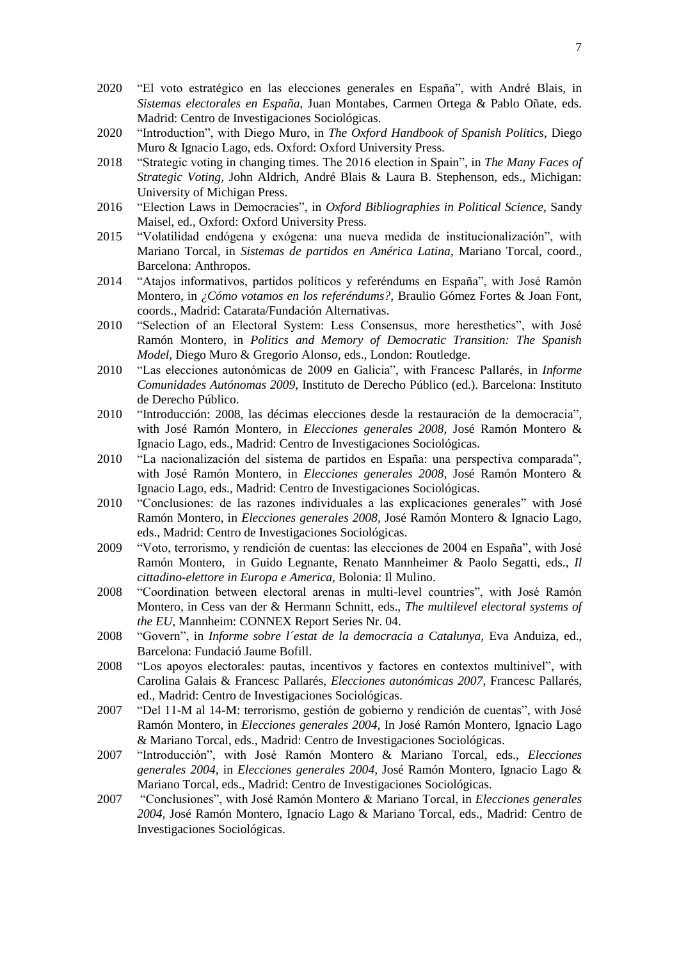- 2020 "El voto estratégico en las elecciones generales en España", with André Blais, in *Sistemas electorales en España*, Juan Montabes, Carmen Ortega & Pablo Oñate, eds. Madrid: Centro de Investigaciones Sociológicas.
- 2020 "Introduction", with Diego Muro, in *The Oxford Handbook of Spanish Politics*, Diego Muro & Ignacio Lago, eds. Oxford: Oxford University Press.
- 2018 "Strategic voting in changing times. The 2016 election in Spain", in *The Many Faces of Strategic Voting,* John Aldrich, André Blais & Laura B. Stephenson, eds., Michigan: University of Michigan Press.
- 2016 "Election Laws in Democracies", in *Oxford Bibliographies in Political Science,* Sandy Maisel, ed., Oxford: Oxford University Press.
- 2015 "Volatilidad endógena y exógena: una nueva medida de institucionalización", with Mariano Torcal, in *Sistemas de partidos en América Latina,* Mariano Torcal, coord., Barcelona: Anthropos.
- 2014 "Atajos informativos, partidos políticos y referéndums en España", with José Ramón Montero, in *¿Cómo votamos en los referéndums?,* Braulio Gómez Fortes & Joan Font, coords., Madrid: Catarata/Fundación Alternativas.
- 2010 "Selection of an Electoral System: Less Consensus, more heresthetics", with José Ramón Montero, in *Politics and Memory of Democratic Transition: The Spanish Model,* Diego Muro & Gregorio Alons*o,* eds., London: Routledge.
- 2010 "Las elecciones autonómicas de 2009 en Galicia", with Francesc Pallarés, in *Informe Comunidades Autónomas 2009,* Instituto de Derecho Público (ed.). Barcelona: Instituto de Derecho Público.
- 2010 "Introducción: 2008, las décimas elecciones desde la restauración de la democracia", with José Ramón Montero, in *Elecciones generales 2008,* José Ramón Montero & Ignacio Lago, eds., Madrid: Centro de Investigaciones Sociológicas.
- 2010 "La nacionalización del sistema de partidos en España: una perspectiva comparada", with José Ramón Montero, in *Elecciones generales 2008,* José Ramón Montero & Ignacio Lago, eds., Madrid: Centro de Investigaciones Sociológicas.
- 2010 "Conclusiones: de las razones individuales a las explicaciones generales" with José Ramón Montero, in *Elecciones generales 2008,* José Ramón Montero & Ignacio Lago, eds., Madrid: Centro de Investigaciones Sociológicas.
- 2009 "Voto, terrorismo, y rendición de cuentas: las elecciones de 2004 en España", with José Ramón Montero, in Guido Legnante, Renato Mannheimer & Paolo Segatti, eds., *Il cittadino-elettore in Europa e America,* Bolonia: Il Mulino.
- 2008 "Coordination between electoral arenas in multi-level countries", with José Ramón Montero, in Cess van der & Hermann Schnitt, eds., *The multilevel electoral systems of the EU,* Mannheim: CONNEX Report Series Nr. 04.
- 2008 "Govern", in *Informe sobre l´estat de la democracia a Catalunya,* Eva Anduiza, ed., Barcelona: Fundació Jaume Bofill.
- 2008 "Los apoyos electorales: pautas, incentivos y factores en contextos multinivel", with Carolina Galais & Francesc Pallarés, *Elecciones autonómicas 2007*, Francesc Pallarés, ed., Madrid: Centro de Investigaciones Sociológicas.
- 2007 "Del 11-M al 14-M: terrorismo, gestión de gobierno y rendición de cuentas", with José Ramón Montero, in *Elecciones generales 2004,* In José Ramón Montero, Ignacio Lago & Mariano Torcal, eds., Madrid: Centro de Investigaciones Sociológicas.
- 2007 "Introducción", with José Ramón Montero & Mariano Torcal, eds., *Elecciones generales 2004,* in *Elecciones generales 2004,* José Ramón Montero, Ignacio Lago & Mariano Torcal, eds., Madrid: Centro de Investigaciones Sociológicas.
- 2007 "Conclusiones", with José Ramón Montero & Mariano Torcal, in *Elecciones generales 2004,* José Ramón Montero, Ignacio Lago & Mariano Torcal, eds., Madrid: Centro de Investigaciones Sociológicas.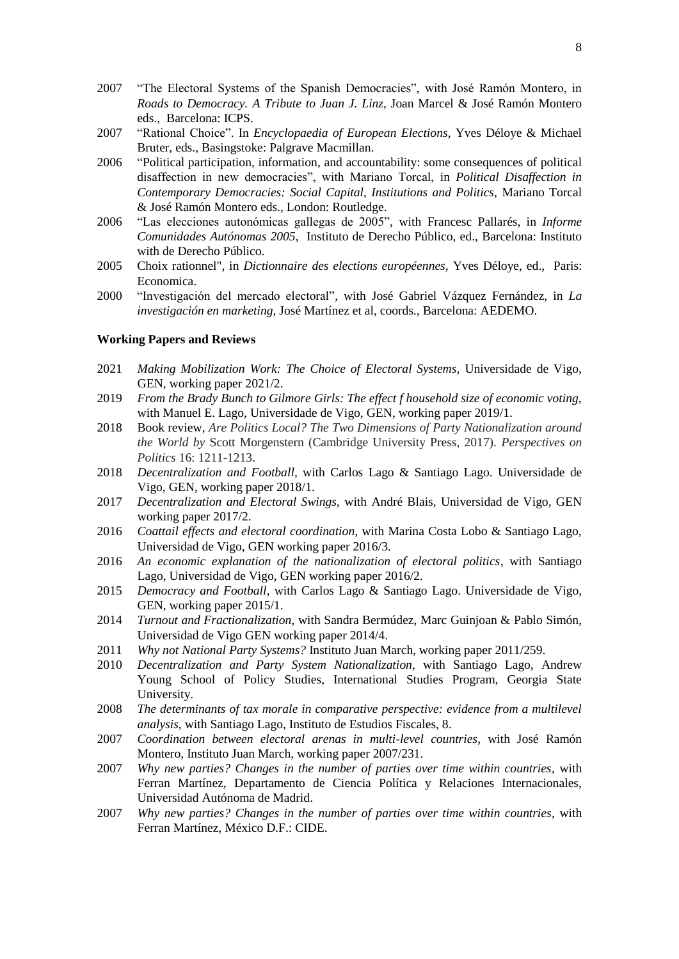- 2007 "The Electoral Systems of the Spanish Democracies", with José Ramón Montero, in *Roads to Democracy. A Tribute to Juan J. Linz,* Joan Marcel & José Ramón Montero eds., Barcelona: ICPS.
- 2007 "Rational Choice". In *Encyclopaedia of European Elections*, Yves Déloye & Michael Bruter, eds., Basingstoke: Palgrave Macmillan.
- 2006 "Political participation, information, and accountability: some consequences of political disaffection in new democracies", with Mariano Torcal, in *Political Disaffection in Contemporary Democracies: Social Capital, Institutions and Politics,* Mariano Torcal & José Ramón Montero eds., London: Routledge.
- 2006 "Las elecciones autonómicas gallegas de 2005", with Francesc Pallarés, in *Informe Comunidades Autónomas 2005,* Instituto de Derecho Público, ed., Barcelona: Instituto with de Derecho Público.
- 2005 Choix rationnel", in *Dictionnaire des elections européennes,* Yves Déloye, ed., Paris: Economica.
- 2000 "Investigación del mercado electoral", with José Gabriel Vázquez Fernández, in *La investigación en marketing,* José Martínez et al, coords., Barcelona: AEDEMO.

### **Working Papers and Reviews**

- 2021 *Making Mobilization Work: The Choice of Electoral Systems,* Universidade de Vigo, GEN, working paper 2021/2.
- 2019 *From the Brady Bunch to Gilmore Girls: The effect f household size of economic voting,*  with Manuel E. Lago, Universidade de Vigo, GEN, working paper 2019/1.
- 2018 Book review, *Are Politics Local? The Two Dimensions of Party Nationalization around the World by* Scott Morgenstern (Cambridge University Press, 2017)*. Perspectives on Politics* 16: 1211-1213.
- 2018 *Decentralization and Football,* with Carlos Lago & Santiago Lago. Universidade de Vigo, GEN, working paper 2018/1.
- 2017 *Decentralization and Electoral Swings,* with André Blais, Universidad de Vigo, GEN working paper 2017/2.
- 2016 *Coattail effects and electoral coordination,* with Marina Costa Lobo & Santiago Lago, Universidad de Vigo, GEN working paper 2016/3.
- 2016 *An economic explanation of the nationalization of electoral politics*, with Santiago Lago, Universidad de Vigo, GEN working paper 2016/2.
- 2015 *Democracy and Football,* with Carlos Lago & Santiago Lago. Universidade de Vigo, GEN, working paper 2015/1.
- 2014 *Turnout and Fractionalization*, with Sandra Bermúdez, Marc Guinjoan & Pablo Simón, Universidad de Vigo GEN working paper 2014/4.
- 2011 *Why not National Party Systems?* Instituto Juan March, working paper 2011/259.
- 2010 *Decentralization and Party System Nationalization*, with Santiago Lago, Andrew Young School of Policy Studies, International Studies Program, Georgia State University.
- 2008 *The determinants of tax morale in comparative perspective: evidence from a multilevel analysis,* with Santiago Lago, Instituto de Estudios Fiscales, 8.
- 2007 *Coordination between electoral arenas in multi-level countries*, with José Ramón Montero, Instituto Juan March, working paper 2007/231.
- 2007 *Why new parties? Changes in the number of parties over time within countries*, with Ferran Martínez, Departamento de Ciencia Política y Relaciones Internacionales, Universidad Autónoma de Madrid.
- 2007 *Why new parties? Changes in the number of parties over time within countries*, with Ferran Martínez, México D.F.: CIDE.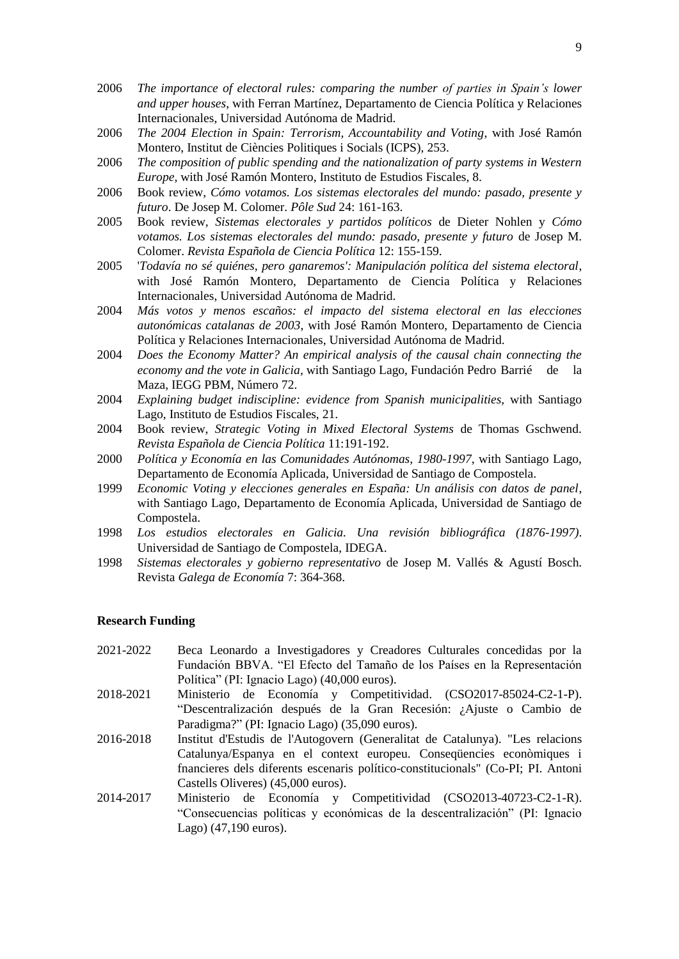- 2006 *The importance of electoral rules: comparing the number of parties in Spain's lower and upper houses*, with Ferran Martínez, Departamento de Ciencia Política y Relaciones Internacionales, Universidad Autónoma de Madrid.
- 2006 *The 2004 Election in Spain: Terrorism, Accountability and Voting*, with José Ramón Montero, Institut de Ciències Politiques i Socials (ICPS), 253.
- 2006 *The composition of public spending and the nationalization of party systems in Western Europe,* with José Ramón Montero, Instituto de Estudios Fiscales, 8.
- 2006 Book review, *Cómo votamos. Los sistemas electorales del mundo: pasado, presente y futuro*. De Josep M. Colomer. *Pôle Sud* 24: 161-163.
- 2005 Book review, *Sistemas electorales y partidos políticos* de Dieter Nohlen y *Cómo votamos. Los sistemas electorales del mundo: pasado, presente y futuro* de Josep M. Colomer. *Revista Española de Ciencia Política* 12: 155-159.
- 2005 '*Todavía no sé quiénes, pero ganaremos': Manipulación política del sistema electoral*, with José Ramón Montero, Departamento de Ciencia Política y Relaciones Internacionales, Universidad Autónoma de Madrid.
- 2004 *Más votos y menos escaños: el impacto del sistema electoral en las elecciones autonómicas catalanas de 2003*, with José Ramón Montero, Departamento de Ciencia Política y Relaciones Internacionales, Universidad Autónoma de Madrid.
- 2004 *Does the Economy Matter? An empirical analysis of the causal chain connecting the economy and the vote in Galicia,* with Santiago Lago, Fundación Pedro Barrié de la Maza, IEGG PBM, Número 72.
- 2004 *Explaining budget indiscipline: evidence from Spanish municipalities,* with Santiago Lago, Instituto de Estudios Fiscales, 21.
- 2004 Book review, *Strategic Voting in Mixed Electoral Systems* de Thomas Gschwend. *Revista Española de Ciencia Política* 11:191-192.
- 2000 *Política y Economía en las Comunidades Autónomas, 1980-1997*, with Santiago Lago, Departamento de Economía Aplicada, Universidad de Santiago de Compostela.
- 1999 *Economic Voting y elecciones generales en España: Un análisis con datos de panel*, with Santiago Lago, Departamento de Economía Aplicada, Universidad de Santiago de Compostela.
- 1998 *Los estudios electorales en Galicia. Una revisión bibliográfica (1876-1997)*. Universidad de Santiago de Compostela, IDEGA.
- 1998 *Sistemas electorales y gobierno representativo* de Josep M. Vallés & Agustí Bosch. Revista *Galega de Economía* 7: 364-368.

#### **Research Funding**

- 2021-2022 Beca Leonardo a Investigadores y Creadores Culturales concedidas por la Fundación BBVA. "El Efecto del Tamaño de los Países en la Representación Política" (PI: Ignacio Lago) (40,000 euros).
- 2018-2021 Ministerio de Economía y Competitividad. (CSO2017-85024-C2-1-P). "Descentralización después de la Gran Recesión: ¿Ajuste o Cambio de Paradigma?" (PI: Ignacio Lago) (35,090 euros).
- 2016-2018 Institut d'Estudis de l'Autogovern (Generalitat de Catalunya). "Les relacions Catalunya/Espanya en el context europeu. Conseqüencies econòmiques i fnancieres dels diferents escenaris político-constitucionals" (Co-PI; PI. Antoni Castells Oliveres) (45,000 euros).
- 2014-2017 Ministerio de Economía y Competitividad (CSO2013-40723-C2-1-R). "Consecuencias políticas y económicas de la descentralización" (PI: Ignacio Lago) (47,190 euros).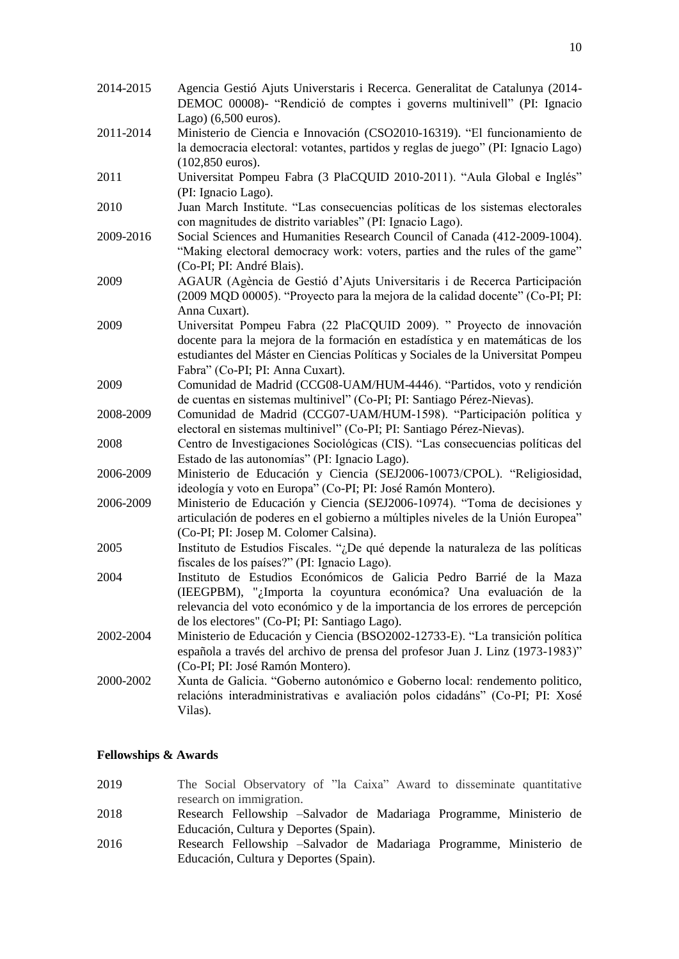| 2014-2015 | Agencia Gestió Ajuts Universtaris i Recerca. Generalitat de Catalunya (2014-<br>DEMOC 00008)- "Rendició de comptes i governs multinivell" (PI: Ignacio |
|-----------|--------------------------------------------------------------------------------------------------------------------------------------------------------|
|           | Lago) $(6,500 \text{ euros})$ .                                                                                                                        |
| 2011-2014 | Ministerio de Ciencia e Innovación (CSO2010-16319). "El funcionamiento de                                                                              |
|           | la democracia electoral: votantes, partidos y reglas de juego" (PI: Ignacio Lago)                                                                      |
|           | $(102, 850 \text{ euros}).$                                                                                                                            |
| 2011      | Universitat Pompeu Fabra (3 PlaCQUID 2010-2011). "Aula Global e Inglés"                                                                                |
|           | (PI: Ignacio Lago).                                                                                                                                    |
| 2010      | Juan March Institute. "Las consecuencias políticas de los sistemas electorales                                                                         |
|           | con magnitudes de distrito variables" (PI: Ignacio Lago).                                                                                              |
| 2009-2016 | Social Sciences and Humanities Research Council of Canada (412-2009-1004).                                                                             |
|           | "Making electoral democracy work: voters, parties and the rules of the game"                                                                           |
|           | (Co-PI; PI: André Blais).                                                                                                                              |
| 2009      | AGAUR (Agència de Gestió d'Ajuts Universitaris i de Recerca Participación                                                                              |
|           | (2009 MQD 00005). "Proyecto para la mejora de la calidad docente" (Co-PI; PI:                                                                          |
|           | Anna Cuxart).                                                                                                                                          |
| 2009      | Universitat Pompeu Fabra (22 PlaCQUID 2009). " Proyecto de innovación                                                                                  |
|           | docente para la mejora de la formación en estadística y en matemáticas de los                                                                          |
|           | estudiantes del Máster en Ciencias Políticas y Sociales de la Universitat Pompeu                                                                       |
|           | Fabra" (Co-PI; PI: Anna Cuxart).                                                                                                                       |
| 2009      | Comunidad de Madrid (CCG08-UAM/HUM-4446). "Partidos, voto y rendición                                                                                  |
|           | de cuentas en sistemas multinivel" (Co-PI; PI: Santiago Pérez-Nievas).                                                                                 |
| 2008-2009 | Comunidad de Madrid (CCG07-UAM/HUM-1598). "Participación política y                                                                                    |
|           | electoral en sistemas multinivel" (Co-PI; PI: Santiago Pérez-Nievas).                                                                                  |
| 2008      | Centro de Investigaciones Sociológicas (CIS). "Las consecuencias políticas del                                                                         |
|           | Estado de las autonomías" (PI: Ignacio Lago).                                                                                                          |
| 2006-2009 | Ministerio de Educación y Ciencia (SEJ2006-10073/CPOL). "Religiosidad,                                                                                 |
|           | ideología y voto en Europa" (Co-PI; PI: José Ramón Montero).                                                                                           |
| 2006-2009 | Ministerio de Educación y Ciencia (SEJ2006-10974). "Toma de decisiones y                                                                               |
|           | articulación de poderes en el gobierno a múltiples niveles de la Unión Europea"                                                                        |
|           | (Co-PI; PI: Josep M. Colomer Calsina).                                                                                                                 |
| 2005      | Instituto de Estudios Fiscales. "¿De qué depende la naturaleza de las políticas                                                                        |
|           | fiscales de los países?" (PI: Ignacio Lago).                                                                                                           |
| 2004      | Instituto de Estudios Económicos de Galicia Pedro Barrié de la Maza                                                                                    |
|           | (IEEGPBM), "¿Importa la coyuntura económica? Una evaluación de la                                                                                      |
|           | relevancia del voto económico y de la importancia de los errores de percepción                                                                         |
|           | de los electores" (Co-PI; PI: Santiago Lago).                                                                                                          |
| 2002-2004 | Ministerio de Educación y Ciencia (BSO2002-12733-E). "La transición política                                                                           |
|           | española a través del archivo de prensa del profesor Juan J. Linz (1973-1983)"                                                                         |
|           | (Co-PI; PI: José Ramón Montero).                                                                                                                       |
| 2000-2002 | Xunta de Galicia. "Goberno autonómico e Goberno local: rendemento politico,                                                                            |
|           | relacións interadministrativas e avaliación polos cidadáns" (Co-PI; PI: Xosé                                                                           |
|           | Vilas).                                                                                                                                                |
|           |                                                                                                                                                        |

# **Fellowships & Awards**

2019 The Social Observatory of "la Caixa" Award to disseminate quantitative research on immigration. 2018 Research Fellowship –Salvador de Madariaga Programme, Ministerio de Educación, Cultura y Deportes (Spain). 2016 Research Fellowship –Salvador de Madariaga Programme, Ministerio de Educación, Cultura y Deportes (Spain).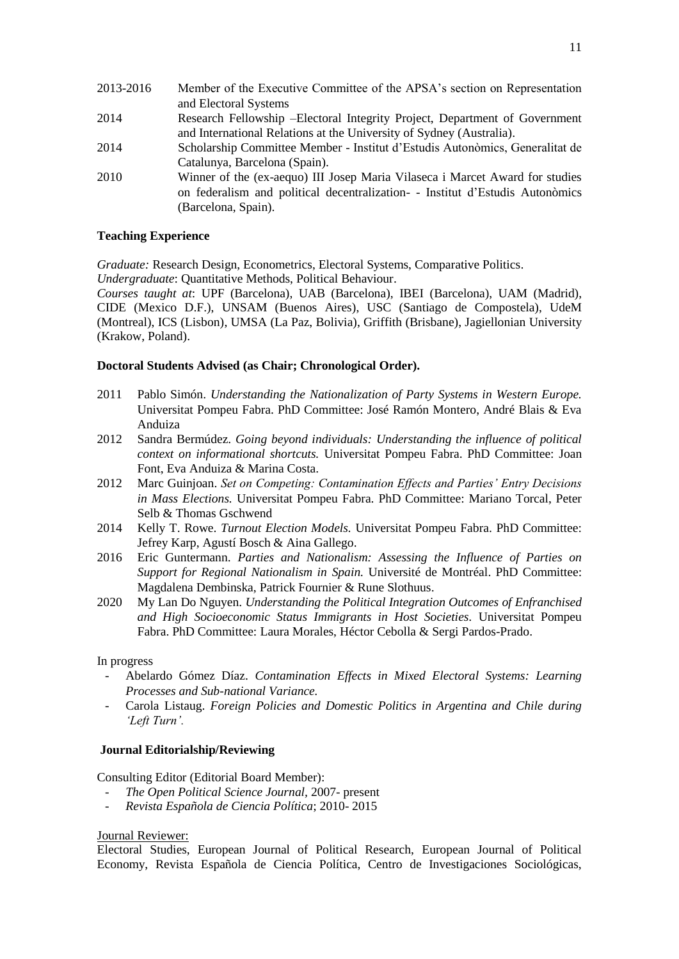- 2013-2016 Member of the Executive Committee of the APSA's section on Representation and Electoral Systems 2014 Research Fellowship –Electoral Integrity Project, Department of Government
- and International Relations at the University of Sydney (Australia).
- 2014 Scholarship Committee Member Institut d'Estudis Autonòmics, Generalitat de Catalunya, Barcelona (Spain).
- 2010 Winner of the (ex-aequo) III Josep Maria Vilaseca i Marcet Award for studies on federalism and political decentralization- - Institut d'Estudis Autonòmics (Barcelona, Spain).

### **Teaching Experience**

*Graduate:* Research Design, Econometrics, Electoral Systems, Comparative Politics. *Undergraduate*: Quantitative Methods, Political Behaviour.

*Courses taught at*: UPF (Barcelona), UAB (Barcelona), IBEI (Barcelona), UAM (Madrid), CIDE (Mexico D.F.), UNSAM (Buenos Aires), USC (Santiago de Compostela), UdeM (Montreal), ICS (Lisbon), UMSA (La Paz, Bolivia), Griffith (Brisbane), [Jagiellonian University](http://www.en.uj.edu.pl/) [\(Krakow,](http://www.en.uj.edu.pl/) Poland).

### **Doctoral Students Advised (as Chair; Chronological Order).**

- 2011 Pablo Simón. *Understanding the Nationalization of Party Systems in Western Europe.*  Universitat Pompeu Fabra. PhD Committee: José Ramón Montero, André Blais & Eva Anduiza
- 2012 Sandra Bermúdez. *Going beyond individuals: Understanding the influence of political context on informational shortcuts.* Universitat Pompeu Fabra. PhD Committee: Joan Font, Eva Anduiza & Marina Costa.
- 2012 Marc Guinjoan. *Set on Competing: Contamination Effects and Parties' Entry Decisions in Mass Elections.* Universitat Pompeu Fabra. PhD Committee: Mariano Torcal, Peter Selb & Thomas Gschwend
- 2014 Kelly T. Rowe. *Turnout Election Models.* Universitat Pompeu Fabra. PhD Committee: Jefrey Karp, Agustí Bosch & Aina Gallego.
- 2016 Eric Guntermann. *Parties and Nationalism: Assessing the Influence of Parties on Support for Regional Nationalism in Spain.* Université de Montréal. PhD Committee: Magdalena Dembinska, Patrick Fournier & Rune Slothuus.
- 2020 My Lan Do Nguyen. *Understanding the Political Integration Outcomes of Enfranchised and High Socioeconomic Status Immigrants in Host Societies.* Universitat Pompeu Fabra. PhD Committee: Laura Morales, Héctor Cebolla & Sergi Pardos-Prado.

### In progress

- Abelardo Gómez Díaz. *Contamination Effects in Mixed Electoral Systems: Learning Processes and Sub-national Variance.*
- Carola Listaug. *Foreign Policies and Domestic Politics in Argentina and Chile during 'Left Turn'.*

### **Journal Editorialship/Reviewing**

Consulting Editor (Editorial Board Member):

- *The Open Political Science Journal,* 2007- present
- *Revista Española de Ciencia Política*; 2010- 2015

### Journal Reviewer:

Electoral Studies, European Journal of Political Research, European Journal of Political Economy, Revista Española de Ciencia Política, Centro de Investigaciones Sociológicas,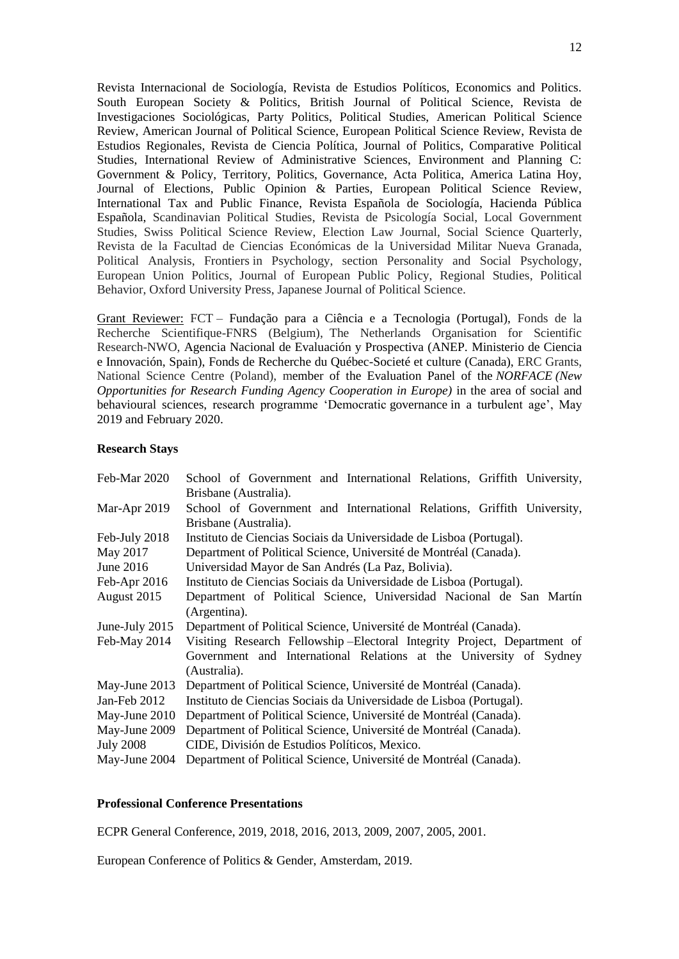Revista Internacional de Sociología, Revista de Estudios Políticos, Economics and Politics. South European Society & Politics, British Journal of Political Science, Revista de Investigaciones Sociológicas, Party Politics, Political Studies, American Political Science Review, American Journal of Political Science, European Political Science Review, Revista de Estudios Regionales, Revista de Ciencia Política, Journal of Politics, Comparative Political Studies, International Review of Administrative Sciences, Environment and Planning C: Government & Policy, Territory, Politics, Governance, Acta Politica, America Latina Hoy, Journal of Elections, Public Opinion & Parties, European Political Science Review, International Tax and Public Finance, Revista Española de Sociología, Hacienda Pública Española, Scandinavian Political Studies, Revista de Psicología Social, Local Government Studies, Swiss Political Science Review, Election Law Journal, Social Science Quarterly, Revista de la Facultad de Ciencias Económicas de la Universidad Militar Nueva Granada, Political Analysis, Frontiers in Psychology, section Personality and Social Psychology, European Union Politics, Journal of European Public Policy, Regional Studies, Political Behavior, Oxford University Press, Japanese Journal of Political Science.

Grant Reviewer: FCT – Fundação para a Ciência e a Tecnologia (Portugal), Fonds de la Recherche Scientifique-FNRS (Belgium), The Netherlands Organisation for Scientific Research-NWO, Agencia Nacional de Evaluación y Prospectiva (ANEP. Ministerio de Ciencia e Innovación, Spain), Fonds de Recherche du Québec-Societé et culture (Canada), ERC Grants, National Science Centre (Poland), member of the Evaluation Panel of the *NORFACE (New Opportunities for Research Funding Agency Cooperation in Europe)* in the area of social and behavioural sciences, research programme 'Democratic governance in a turbulent age', May 2019 and February 2020.

### **Research Stays**

| School of Government and International Relations, Griffith University,  |
|-------------------------------------------------------------------------|
| Brisbane (Australia).                                                   |
| School of Government and International Relations, Griffith University,  |
| Brisbane (Australia).                                                   |
| Instituto de Ciencias Sociais da Universidade de Lisboa (Portugal).     |
| Department of Political Science, Université de Montréal (Canada).       |
| Universidad Mayor de San Andrés (La Paz, Bolivia).                      |
| Instituto de Ciencias Sociais da Universidade de Lisboa (Portugal).     |
| Department of Political Science, Universidad Nacional de San Martín     |
| (Argentina).                                                            |
| Department of Political Science, Université de Montréal (Canada).       |
| Visiting Research Fellowship-Electoral Integrity Project, Department of |
| Government and International Relations at the University of Sydney      |
| (Australia).                                                            |
| Department of Political Science, Université de Montréal (Canada).       |
| Instituto de Ciencias Sociais da Universidade de Lisboa (Portugal).     |
| Department of Political Science, Université de Montréal (Canada).       |
| Department of Political Science, Université de Montréal (Canada).       |
| CIDE, División de Estudios Políticos, Mexico.                           |
| Department of Political Science, Université de Montréal (Canada).       |
|                                                                         |

# **Professional Conference Presentations**

ECPR General Conference, 2019, 2018, 2016, 2013, 2009, 2007, 2005, 2001.

European Conference of Politics & Gender, Amsterdam, 2019.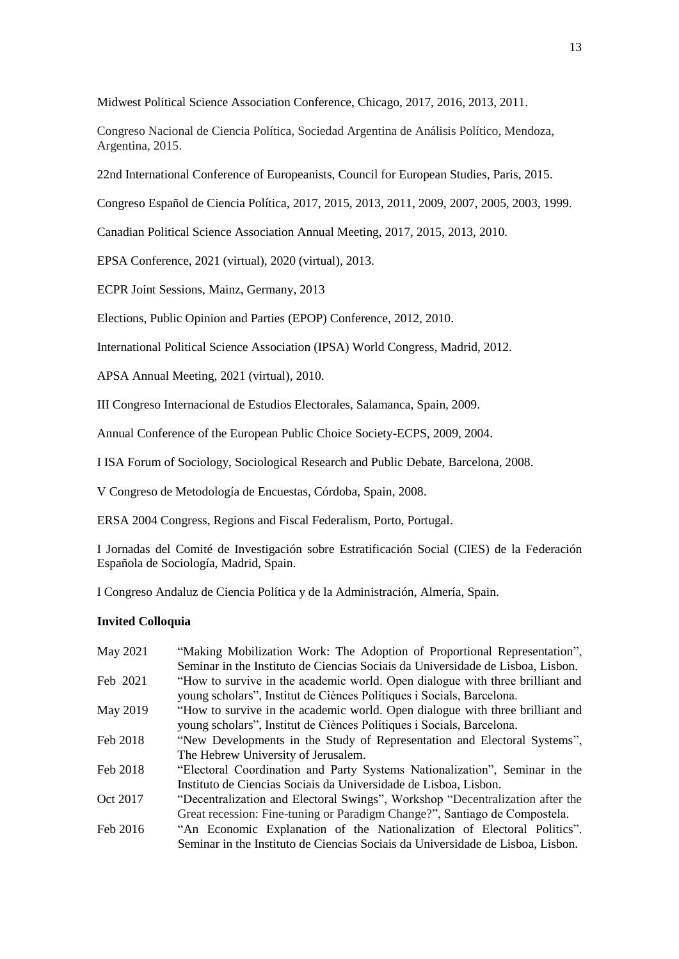Midwest Political Science Association Conference, Chicago, 2017, 2016, 2013, 2011.

Congreso Nacional de Ciencia Política, Sociedad Argentina de Análisis Político, Mendoza, Argentina, 2015.

22nd International Conference of Europeanists, Council for European Studies, Paris, 2015.

Congreso Español de Ciencia Política, 2017, 2015, 2013, 2011, 2009, 2007, 2005, 2003, 1999.

Canadian Political Science Association Annual Meeting, 2017, 2015, 2013, 2010.

EPSA Conference, 2021 (virtual), 2020 (virtual), 2013.

ECPR Joint Sessions, Mainz, Germany, 2013

Elections, Public Opinion and Parties (EPOP) Conference, 2012, 2010.

International Political Science Association (IPSA) World Congress, Madrid, 2012.

APSA Annual Meeting, 2021 (virtual), 2010.

III Congreso Internacional de Estudios Electorales, Salamanca, Spain, 2009.

Annual Conference of the European Public Choice Society-ECPS, 2009, 2004.

I ISA Forum of Sociology, Sociological Research and Public Debate, Barcelona, 2008.

V Congreso de Metodología de Encuestas, Córdoba, Spain, 2008.

ERSA 2004 Congress, Regions and Fiscal Federalism, Porto, Portugal.

I Jornadas del Comité de Investigación sobre Estratificación Social (CIES) de la Federación Española de Sociología, Madrid, Spain.

I Congreso Andaluz de Ciencia Política y de la Administración, Almería, Spain.

# **Invited Colloquia**

| May 2021 | "Making Mobilization Work: The Adoption of Proportional Representation",        |
|----------|---------------------------------------------------------------------------------|
|          | Seminar in the Instituto de Ciencias Sociais da Universidade de Lisboa, Lisbon. |
| Feb 2021 | "How to survive in the academic world. Open dialogue with three brilliant and   |
|          | young scholars", Institut de Ciènces Polítiques i Socials, Barcelona.           |
| May 2019 | "How to survive in the academic world. Open dialogue with three brilliant and   |
|          | young scholars", Institut de Ciènces Polítiques i Socials, Barcelona.           |
| Feb 2018 | "New Developments in the Study of Representation and Electoral Systems",        |
|          | The Hebrew University of Jerusalem.                                             |
| Feb 2018 | "Electoral Coordination and Party Systems Nationalization", Seminar in the      |
|          | Instituto de Ciencias Sociais da Universidade de Lisboa, Lisbon.                |
| Oct 2017 | "Decentralization and Electoral Swings", Workshop "Decentralization after the   |
|          | Great recession: Fine-tuning or Paradigm Change?", Santiago de Compostela.      |
| Feb 2016 | "An Economic Explanation of the Nationalization of Electoral Politics".         |
|          | Seminar in the Instituto de Ciencias Sociais da Universidade de Lisboa, Lisbon. |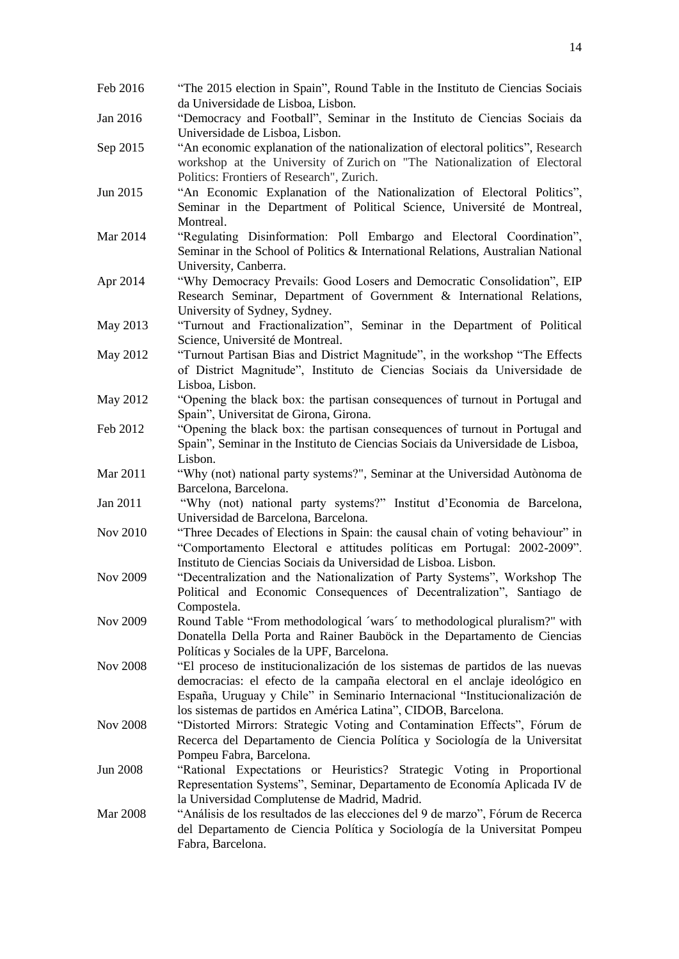- Jan 2016 "Democracy and Football", Seminar in the Instituto de Ciencias Sociais da Universidade de Lisboa, Lisbon.
- Sep 2015 "An economic explanation of the nationalization of electoral politics", Research workshop at the University of Zurich on "The Nationalization of Electoral Politics: Frontiers of Research", Zurich.
- Jun 2015 "An Economic Explanation of the Nationalization of Electoral Politics", Seminar in the Department of Political Science, Université de Montreal, Montreal.
- Mar 2014 "Regulating Disinformation: Poll Embargo and Electoral Coordination", Seminar in the School of Politics & International Relations, Australian National University, Canberra.
- Apr 2014 "Why Democracy Prevails: Good Losers and Democratic Consolidation", EIP Research Seminar, Department of Government & International Relations, University of Sydney, Sydney.
- May 2013 "Turnout and Fractionalization", Seminar in the Department of Political Science, Université de Montreal.
- May 2012 "Turnout Partisan Bias and District Magnitude", in the workshop "The Effects of District Magnitude", Instituto de Ciencias Sociais da Universidade de Lisboa, Lisbon.
- May 2012 "Opening the black box: the partisan consequences of turnout in Portugal and Spain", Universitat de Girona, Girona.
- Feb 2012 "Opening the black box: the partisan consequences of turnout in Portugal and Spain", Seminar in the Instituto de Ciencias Sociais da Universidade de Lisboa, Lisbon.
- Mar 2011 "Why (not) national party systems?", Seminar at the Universidad Autònoma de Barcelona, Barcelona.
- Jan 2011 "Why (not) national party systems?" Institut d'Economia de Barcelona, Universidad de Barcelona, Barcelona.
- Nov 2010 "Three Decades of Elections in Spain: the causal chain of voting behaviour" in "Comportamento Electoral e attitudes políticas em Portugal: 2002-2009". Instituto de Ciencias Sociais da Universidad de Lisboa. Lisbon.
- Nov 2009 "Decentralization and the Nationalization of Party Systems", Workshop The Political and Economic Consequences of Decentralization", Santiago de Compostela.
- Nov 2009 Round Table "From methodological ´wars´ to methodological pluralism?" with Donatella Della Porta and Rainer Bauböck in the Departamento de Ciencias Políticas y Sociales de la UPF, Barcelona.
- Nov 2008 "El proceso de institucionalización de los sistemas de partidos de las nuevas democracias: el efecto de la campaña electoral en el anclaje ideológico en España, Uruguay y Chile" in Seminario Internacional "Institucionalización de los sistemas de partidos en América Latina", CIDOB, Barcelona.
- Nov 2008 "Distorted Mirrors: Strategic Voting and Contamination Effects", Fórum de Recerca del Departamento de Ciencia Política y Sociología de la Universitat Pompeu Fabra, Barcelona.
- Jun 2008 "Rational Expectations or Heuristics? Strategic Voting in Proportional Representation Systems", Seminar, Departamento de Economía Aplicada IV de la Universidad Complutense de Madrid, Madrid.
- Mar 2008 "Análisis de los resultados de las elecciones del 9 de marzo", Fórum de Recerca del Departamento de Ciencia Política y Sociología de la Universitat Pompeu Fabra, Barcelona.